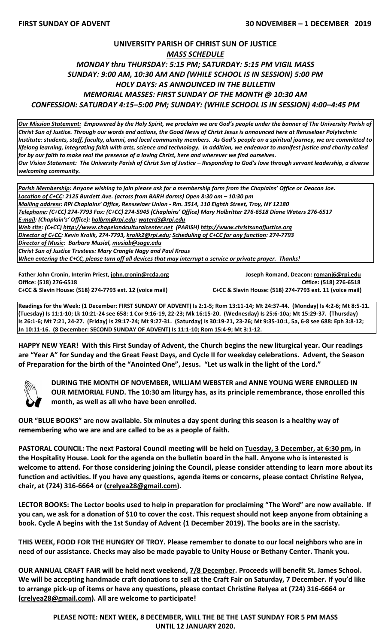## **UNIVERSITY PARISH OF CHRIST SUN OF JUSTICE** *MASS SCHEDULE MONDAY thru THURSDAY: 5:15 PM; SATURDAY: 5:15 PM VIGIL MASS SUNDAY: 9:00 AM, 10:30 AM AND (WHILE SCHOOL IS IN SESSION) 5:00 PM HOLY DAYS: AS ANNOUNCED IN THE BULLETIN MEMORIAL MASSES: FIRST SUNDAY OF THE MONTH @ 10:30 AM CONFESSION: SATURDAY 4:15–5:00 PM; SUNDAY: (WHILE SCHOOL IS IN SESSION) 4:00–4:45 PM*

*Our Mission Statement:**Empowered by the Holy Spirit, we proclaim we are God's people under the banner of The University Parish of Christ Sun of Justice. Through our words and actions, the Good News of Christ Jesus is announced here at Rensselaer Polytechnic Institute: students, staff, faculty, alumni, and local community members. As God's people on a spiritual journey, we are committed to*  lifelong learning, integrating faith with arts, science and technology. In addition, we endeavor to manifest justice and charity called *for by our faith to make real the presence of a loving Christ, here and wherever we find ourselves. Our Vision Statement: The University Parish of Christ Sun of Justice – Responding to God's love through servant leadership, a diverse welcoming community.*

*Parish Membership: Anyone wishing to join please ask for a membership form from the Chaplains' Office or Deacon Joe. Location of C+CC: 2125 Burdett Ave. (across from BARH dorms) Open 8:30 am – 10:30 pm Mailing address: RPI Chaplains' Office, Rensselaer Union - Rm. 3514, 110 Eighth Street, Troy, NY 12180 Telephone: (C+CC) 274-7793 Fax: (C+CC) 274-5945 (Chaplains' Office) Mary Holbritter 276-6518 Diane Waters 276-6517 E-mail: (Chaplain's' Office): [holbrm@rpi.edu;](mailto:holbrm@rpi.edu) waterd3@rpi.edu Web site: (C+CC) [http://www.chapelandculturalcenter.net](http://www.chapelandculturalcenter.net/) (PARISH) http://www.christsunofjustice.org Director of C+CC: Kevin Krolik, 274-7793, krolik2@rpi.edu; Scheduling of C+CC for any function: 274-7793 Director of Music: Barbara Musial, [musiab@sage.edu](mailto:musiab@sage.edu) Christ Sun of Justice Trustees: Mary Crangle Nagy and Paul Kraus When entering the C+CC, please turn off all devices that may interrupt a service or private prayer. Thanks!* 

**Office: (518) 276-6518 Office: (518) 276-6518 C+CC & Slavin House: (518) 274-7793 ext. 12 (voice mail) C+CC & Slavin House: (518) 274-7793 ext. 11 (voice mail)**

**Father John Cronin, Interim Priest[, john.cronin@rcda.org](mailto:john.cronin@rcda.org) Joseph Romand, Deacon: [romanj6@rpi.edu](mailto:romanj6@rpi.edu)**

**Readings for the Week: (1 December: FIRST SUNDAY OF ADVENT) Is 2:1-5; Rom 13:11-14; Mt 24:37-44. (Monday) Is 4:2-6; Mt 8:5-11. (Tuesday) Is 11:1-10; Lk 10:21-24 see 658: 1 Cor 9:16-19, 22-23; Mk 16:15-20. (Wednesday) Is 25:6-10a; Mt 15:29-37. (Thursday) Is 26:1-6; Mt 7:21, 24-27. (Friday) Is 29:17-24; Mt 9:27-31. (Saturday) Is 30:19-21, 23-26; Mt 9:35-10:1, 5a, 6-8 see 688: Eph 3:8-12; Jn 10:11-16. (8 December: SECOND SUNDAY OF ADVENT) Is 11:1-10; Rom 15:4-9; Mt 3:1-12.**

**HAPPY NEW YEAR! With this First Sunday of Advent, the Church begins the new liturgical year. Our readings are "Year A" for Sunday and the Great Feast Days, and Cycle II for weekday celebrations. Advent, the Season of Preparation for the birth of the "Anointed One", Jesus. "Let us walk in the light of the Lord."** 



**DURING THE MONTH OF NOVEMBER, WILLIAM WEBSTER and ANNE YOUNG WERE ENROLLED IN OUR MEMORIAL FUND. The 10:30 am liturgy has, as its principle remembrance, those enrolled this month, as well as all who have been enrolled.**

**OUR "BLUE BOOKS" are now available. Six minutes a day spent during this season is a healthy way of remembering who we are and are called to be as a people of faith.**

**PASTORAL COUNCIL: The next Pastoral Council meeting will be held on Tuesday, 3 December, at 6:30 pm, in the Hospitality House. Look for the agenda on the bulletin board in the hall. Anyone who is interested is welcome to attend. For those considering joining the Council, please consider attending to learn more about its function and activities. If you have any questions, agenda items or concerns, please contact Christine Relyea, chair, at (724) 316-6664 or [\(crelyea28@gmail.com\)](mailto:crelyea28@gmail.com).**

**LECTOR BOOKS: The Lector books used to help in preparation for proclaiming "The Word" are now available. If you can, we ask for a donation of \$10 to cover the cost. This request should not keep anyone from obtaining a book. Cycle A begins with the 1st Sunday of Advent (1 December 2019). The books are in the sacristy.**

**THIS WEEK, FOOD FOR THE HUNGRY OF TROY. Please remember to donate to our local neighbors who are in need of our assistance. Checks may also be made payable to Unity House or Bethany Center. Thank you.**

**OUR ANNUAL CRAFT FAIR will be held next weekend, 7/8 December. Proceeds will benefit St. James School. We will be accepting handmade craft donations to sell at the Craft Fair on Saturday, 7 December. If you'd like to arrange pick-up of items or have any questions, please contact Christine Relyea at (724) 316-6664 or [\(crelyea28@gmail.com\)](mailto:crelyea28@gmail.com). All are welcome to participate!**